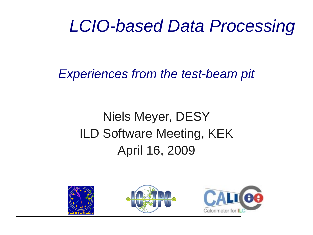#### *LCIO-based Data Processing*

#### *Experiences from the test-beam pit*

#### Niels Meyer, DESY ILD Software Meeting, KEK April 16, 2009





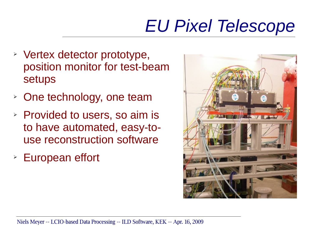# *EU Pixel Telescope*

- ➢ Vertex detector prototype, position monitor for test-beam setups
- ➢ One technology, one team
- ➢ Provided to users, so aim is to have automated, easy-touse reconstruction software
- ➢ European effort

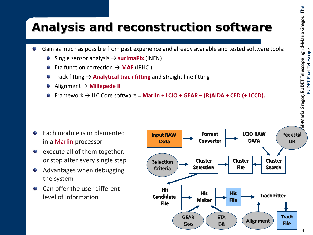#### **Analysis and reconstruction software**

- Gain as much as possible from past experience and already available and tested software tools:
	- Single sensor analysis → **sucimaPix** (INFN)
	- Eta function correction → **MAF** (IPHC )
	- Track fitting → **Analytical track fitting** and straight line fitting
	- Alignment → **Millepede II**
	- Framework → ILC Core software = **Marlin + LCIO + GEAR + (R)AIDA + CED (+ LCCD).**

- Each module is implemented in a Marlin processor
- execute all of them together, or stop after every single step
- Advantages when debugging the system
- Can offer the user different level of information

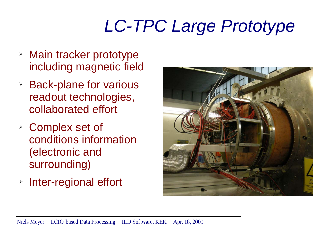# *LC-TPC Large Prototype*

- ➢ Main tracker prototype including magnetic field
- ➢ Back-plane for various readout technologies, collaborated effort
- ➢ Complex set of conditions information (electronic and surrounding)
- ➢ Inter-regional effort

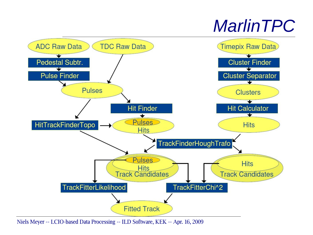## *MarlinTPC*

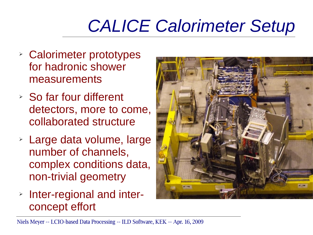# *CALICE Calorimeter Setup*

- ➢ Calorimeter prototypes for hadronic shower measurements
- ➢ So far four different detectors, more to come, collaborated structure
- ➢ Large data volume, large number of channels, complex conditions data, non-trivial geometry
- ➢ Inter-regional and interconcept effort

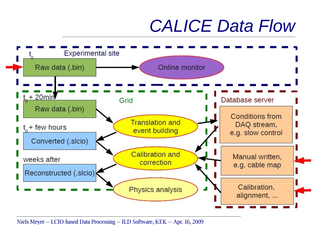#### *CALICE Data Flow*

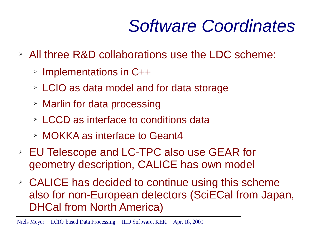## *Software Coordinates*

- ➢ All three R&D collaborations use the LDC scheme:
	- ➢ Implementations in C++
	- ➢ LCIO as data model and for data storage
	- ➢ Marlin for data processing
	- ➢ LCCD as interface to conditions data
	- ➢ MOKKA as interface to Geant4
- ➢ EU Telescope and LC-TPC also use GEAR for geometry description, CALICE has own model
- ➢ CALICE has decided to continue using this scheme also for non-European detectors (SciECal from Japan, DHCal from North America)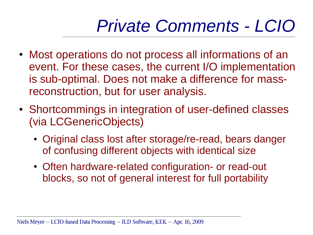### *Private Comments - LCIO*

- Most operations do not process all informations of an event. For these cases, the current I/O implementation is sub-optimal. Does not make a difference for massreconstruction, but for user analysis.
- Shortcommings in integration of user-defined classes (via LCGenericObjects)
	- Original class lost after storage/re-read, bears danger of confusing different objects with identical size
	- Often hardware-related configuration- or read-out blocks, so not of general interest for full portability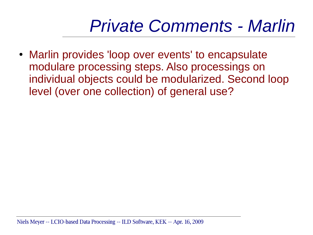### *Private Comments - Marlin*

• Marlin provides 'loop over events' to encapsulate modulare processing steps. Also processings on individual objects could be modularized. Second loop level (over one collection) of general use?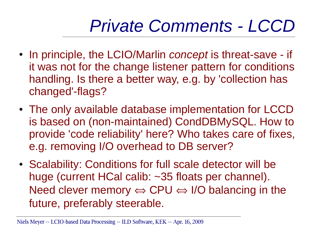## *Private Comments - LCCD*

- In principle, the LCIO/Marlin *concept* is threat-save if it was not for the change listener pattern for conditions handling. Is there a better way, e.g. by 'collection has changed'-flags?
- The only available database implementation for LCCD is based on (non-maintained) CondDBMySQL. How to provide 'code reliability' here? Who takes care of fixes, e.g. removing I/O overhead to DB server?
- Scalability: Conditions for full scale detector will be huge (current HCal calib: ~35 floats per channel). Need clever memory  $\Leftrightarrow$  CPU  $\Leftrightarrow$  I/O balancing in the future, preferably steerable.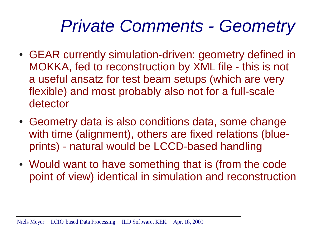### *Private Comments - Geometry*

- GEAR currently simulation-driven: geometry defined in MOKKA, fed to reconstruction by XML file - this is not a useful ansatz for test beam setups (which are very flexible) and most probably also not for a full-scale detector
- Geometry data is also conditions data, some change with time (alignment), others are fixed relations (blueprints) - natural would be LCCD-based handling
- Would want to have something that is (from the code point of view) identical in simulation and reconstruction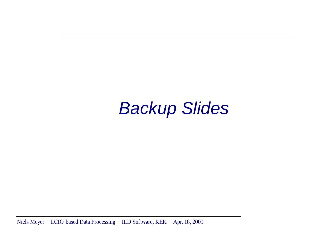#### *Backup Slides*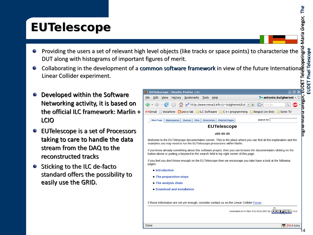#### **EUTelescope**

- Providing the users a set of relevant high level objects (like tracks or space points) to characterize the DUT along with histograms of important figures of merit.
- Collaborating in the development of a common software framework in view of the future Internationa $\S$ Linear Collider experiment.
- Developed within the Software Networking activity, it is based on the official ILC framework: Marlin + LCIO
- EUTelescope is a set of Processors taking to care to handle the data stream from the DAQ to the reconstructed tracks
- Sticking to the ILC de-facto standard offers the possibility to easily use the GRID.

| EUTelescope - Mozilla Firefox <2>                                                                                                                                                                           | $\Box$ $\times$                        |  |
|-------------------------------------------------------------------------------------------------------------------------------------------------------------------------------------------------------------|----------------------------------------|--|
| File Edit<br>View<br>History<br>Bookmarks Tools<br>Help                                                                                                                                                     | <mark>¦</mark> l⊪ antonio.bulgheroni ∙ |  |
| <u>सनि</u> http://www.roma3.infn.it/~bulgheroni/Eut   $\mathbf{v}$  <br>⋗                                                                                                                                   | $G$ Google                             |  |
| □ Vodafone ● unico-lab □ ILC Software □ C++ programming □ Negozi (on line) □ Serie TV<br>MGmail                                                                                                             |                                        |  |
| <b>Related Pages</b><br><b>Namespaces</b><br><b>Files</b><br><b>Directories</b><br><b>Main Page</b><br><b>Classes</b>                                                                                       | Search for                             |  |
| <b>EUTelescope</b>                                                                                                                                                                                          |                                        |  |
| $V00-00-06$                                                                                                                                                                                                 |                                        |  |
| Welcome to the EUTelescope documentation server. This is the place where you can find all the explanation and the<br>examples you may need to run the EUTelescope processors within Marlin.                 |                                        |  |
| If you know already something about this software project, then you can browse the documentation clicking on the<br>button above or putting a keyword in the search field in top right corner of this page. |                                        |  |
| If you feel you don't know enough on the EUTelescope then we encourage you take have a look at the following<br>pages:                                                                                      |                                        |  |
| • Introduction                                                                                                                                                                                              |                                        |  |
| • The preparation steps                                                                                                                                                                                     |                                        |  |
| • The analysis chain                                                                                                                                                                                        |                                        |  |
| <b>• Download and installation</b>                                                                                                                                                                          |                                        |  |
|                                                                                                                                                                                                             |                                        |  |
| If those information are not yet enough, consider contact us on the Linear Collider Forum.                                                                                                                  |                                        |  |
| Generated on Fri Nov 9 12:33:23 2007 by                                                                                                                                                                     |                                        |  |
|                                                                                                                                                                                                             |                                        |  |
| Done                                                                                                                                                                                                        | $M$ 0 toto<br><b>A</b>                 |  |